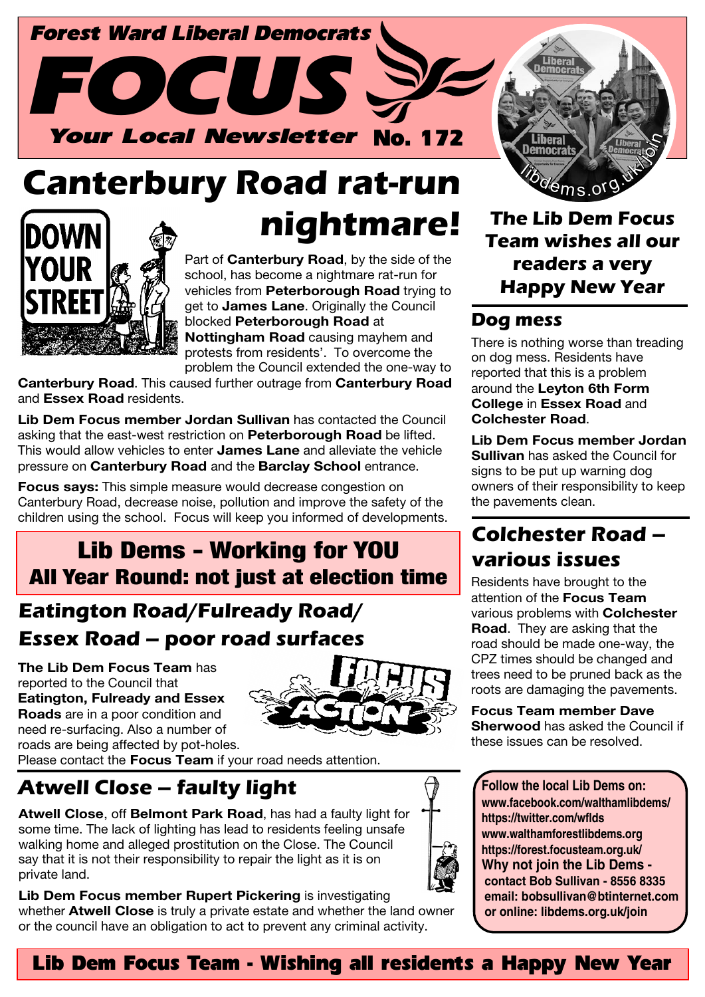

# **Canterbury Road rat-run nightmare! The Lib Dem Focus**



Part of **Canterbury Road**, by the side of the school, has become a nightmare rat-run for vehicles from **Peterborough Road** trying to get to **James Lane**. Originally the Council blocked **Peterborough Road** at **Nottingham Road** causing mayhem and protests from residents'. To overcome the problem the Council extended the one-way to

**Canterbury Road**. This caused further outrage from **Canterbury Road** and **Essex Road** residents.

**Lib Dem Focus member Jordan Sullivan** has contacted the Council asking that the east-west restriction on **Peterborough Road** be lifted. This would allow vehicles to enter **James Lane** and alleviate the vehicle pressure on **Canterbury Road** and the **Barclay School** entrance.

**Focus says:** This simple measure would decrease congestion on Canterbury Road, decrease noise, pollution and improve the safety of the children using the school. Focus will keep you informed of developments.

### Lib Dems - Working for YOU All Year Round: not just at election time

#### **Eatington Road/Fulready Road/ Essex Road – poor road surfaces**

**The Lib Dem Focus Team** has reported to the Council that **Eatington, Fulready and Essex Roads** are in a poor condition and

need re-surfacing. Also a number of



roads are being affected by pot-holes. Please contact the **Focus Team** if your road needs attention.

# **Atwell Close – faulty light**

**Atwell Close**, off **Belmont Park Road**, has had a faulty light for some time. The lack of lighting has lead to residents feeling unsafe walking home and alleged prostitution on the Close. The Council say that it is not their responsibility to repair the light as it is on private land.



**Team wishes all our readers a very Happy New Year**

#### **Dog mess**

There is nothing worse than treading on dog mess. Residents have reported that this is a problem around the **Leyton 6th Form College** in **Essex Road** and **Colchester Road**.

**Lib Dem Focus member Jordan Sullivan** has asked the Council for signs to be put up warning dog owners of their responsibility to keep the pavements clean.

#### **Colchester Road – various issues**

Residents have brought to the attention of the **Focus Team** various problems with **Colchester Road**. They are asking that the road should be made one-way, the CPZ times should be changed and trees need to be pruned back as the roots are damaging the pavements.

**Focus Team member Dave Sherwood** has asked the Council if these issues can be resolved.

**Follow the local Lib Dems on: www.facebook.com/walthamlibdems/ https://twitter.com/wflds www.walthamforestlibdems.org https://forest.focusteam.org.uk/ Why not join the Lib Dems contact Bob Sullivan - 8556 8335 email: bobsullivan@btinternet.com or online: libdems.org.uk/join**

#### Lib Dem Focus Team - Wishing all residents a Happy New Year